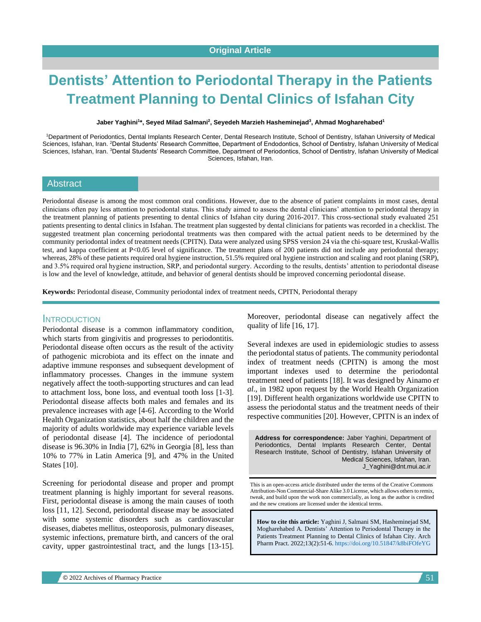# **Dentists' Attention to Periodontal Therapy in the Patients Treatment Planning to Dental Clinics of Isfahan City**

**Jaber Yaghini<sup>1</sup> \*, Seyed Milad Salmani<sup>2</sup> , Seyedeh Marzieh Hasheminejad<sup>3</sup> , Ahmad Mogharehabed<sup>1</sup>**

<sup>1</sup>Department of Periodontics, Dental Implants Research Center, Dental Research Institute, School of Dentistry, Isfahan University of Medical Sciences, Isfahan, Iran. <sup>2</sup>Dental Students' Research Committee, Department of Endodontics, School of Dentistry, Isfahan University of Medical Sciences, Isfahan, Iran. <sup>3</sup>Dental Students' Research Committee, Department of Periodontics, School of Dentistry, Isfahan University of Medical Sciences, Isfahan, Iran.

#### **Abstract**

Periodontal disease is among the most common oral conditions. However, due to the absence of patient complaints in most cases, dental clinicians often pay less attention to periodontal status. This study aimed to assess the dental clinicians' attention to periodontal therapy in the treatment planning of patients presenting to dental clinics of Isfahan city during 2016-2017. This cross-sectional study evaluated 251 patients presenting to dental clinics in Isfahan. The treatment plan suggested by dental clinicians for patients was recorded in a checklist. The suggested treatment plan concerning periodontal treatments was then compared with the actual patient needs to be determined by the community periodontal index of treatment needs (CPITN). Data were analyzed using SPSS version 24 via the chi-square test, Kruskal-Wallis test, and kappa coefficient at P<0.05 level of significance. The treatment plans of 200 patients did not include any periodontal therapy; whereas, 28% of these patients required oral hygiene instruction, 51.5% required oral hygiene instruction and scaling and root planing (SRP), and 3.5% required oral hygiene instruction, SRP, and periodontal surgery. According to the results, dentists' attention to periodontal disease is low and the level of knowledge, attitude, and behavior of general dentists should be improved concerning periodontal disease.

**Keywords:** Periodontal disease, Community periodontal index of treatment needs, CPITN, Periodontal therapy

## **INTRODUCTION**

Periodontal disease is a common inflammatory condition, which starts from gingivitis and progresses to periodontitis. Periodontal disease often occurs as the result of the activity of pathogenic microbiota and its effect on the innate and adaptive immune responses and subsequent development of inflammatory processes. Changes in the immune system negatively affect the tooth-supporting structures and can lead to attachment loss, bone loss, and eventual tooth loss [1-3]. Periodontal disease affects both males and females and its prevalence increases with age [4-6]. According to the World Health Organization statistics, about half the children and the majority of adults worldwide may experience variable levels of periodontal disease [4]. The incidence of periodontal disease is 96.30% in India [7], 62% in Georgia [8], less than 10% to 77% in Latin America [9], and 47% in the United States [10].

Screening for periodontal disease and proper and prompt treatment planning is highly important for several reasons. First, periodontal disease is among the main causes of tooth loss [11, 12]. Second, periodontal disease may be associated with some systemic disorders such as cardiovascular diseases, diabetes mellitus, osteoporosis, pulmonary diseases, systemic infections, premature birth, and cancers of the oral cavity, upper gastrointestinal tract, and the lungs [13-15]. Moreover, periodontal disease can negatively affect the quality of life [16, 17].

Several indexes are used in epidemiologic studies to assess the periodontal status of patients. The community periodontal index of treatment needs (CPITN) is among the most important indexes used to determine the periodontal treatment need of patients [18]. It was designed by Ainamo *et al*., in 1982 upon request by the World Health Organization [19]. Different health organizations worldwide use CPITN to assess the periodontal status and the treatment needs of their respective communities [20]. However, CPITN is an index of

**Address for correspondence:** Jaber Yaghini, Department of Periodontics, Dental Implants Research Center, Dental Research Institute, School of Dentistry, Isfahan University of Medical Sciences, Isfahan, Iran. J\_Yaghini@dnt.mui.ac.ir

This is an open-access article distributed under the terms of the Creative Commons Attribution-Non Commercial-Share Alike 3.0 License, which allows others to remix, tweak, and build upon the work non commercially, as long as the author is credited and the new creations are licensed under the identical terms.

**How to cite this article:** Yaghini J, Salmani SM, Hasheminejad SM, Mogharehabed A*.* Dentists' Attention to Periodontal Therapy in the Patients Treatment Planning to Dental Clinics of Isfahan City. Arch Pharm Pract. 2022;13(2):51-6[. https://doi.org/10.51847/k8biFOfeYG](https://doi.org/10.51847/k8biFOfeYG)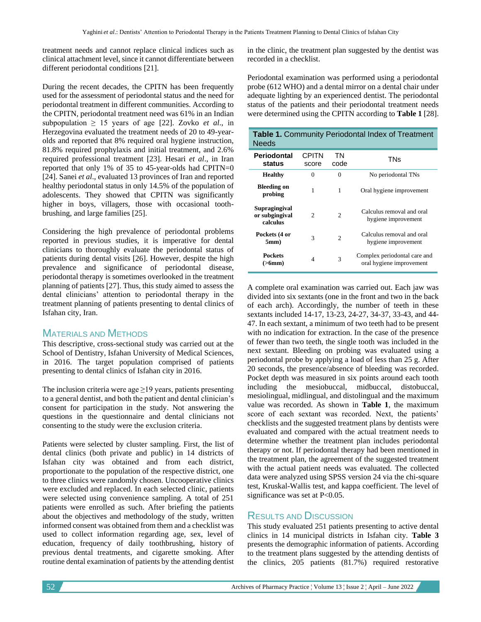treatment needs and cannot replace clinical indices such as clinical attachment level, since it cannot differentiate between different periodontal conditions [21].

During the recent decades, the CPITN has been frequently used for the assessment of periodontal status and the need for periodontal treatment in different communities. According to the CPITN, periodontal treatment need was 61% in an Indian subpopulation  $\geq 15$  years of age [22]. Zovko *et al.*, in Herzegovina evaluated the treatment needs of 20 to 49-yearolds and reported that 8% required oral hygiene instruction, 81.8% required prophylaxis and initial treatment, and 2.6% required professional treatment [23]. Hesari *et al*., in Iran reported that only 1% of 35 to 45-year-olds had CPITN=0 [24]. Sanei *et al*., evaluated 13 provinces of Iran and reported healthy periodontal status in only 14.5% of the population of adolescents. They showed that CPITN was significantly higher in boys, villagers, those with occasional toothbrushing, and large families [25].

Considering the high prevalence of periodontal problems reported in previous studies, it is imperative for dental clinicians to thoroughly evaluate the periodontal status of patients during dental visits [26]. However, despite the high prevalence and significance of periodontal disease, periodontal therapy is sometimes overlooked in the treatment planning of patients [27]. Thus, this study aimed to assess the dental clinicians' attention to periodontal therapy in the treatment planning of patients presenting to dental clinics of Isfahan city, Iran.

# MATERIALS AND METHODS

This descriptive, cross-sectional study was carried out at the School of Dentistry, Isfahan University of Medical Sciences, in 2016. The target population comprised of patients presenting to dental clinics of Isfahan city in 2016.

The inclusion criteria were age  $\geq$ 19 years, patients presenting to a general dentist, and both the patient and dental clinician's consent for participation in the study. Not answering the questions in the questionnaire and dental clinicians not consenting to the study were the exclusion criteria.

Patients were selected by cluster sampling. First, the list of dental clinics (both private and public) in 14 districts of Isfahan city was obtained and from each district, proportionate to the population of the respective district, one to three clinics were randomly chosen. Uncooperative clinics were excluded and replaced. In each selected clinic, patients were selected using convenience sampling. A total of 251 patients were enrolled as such. After briefing the patients about the objectives and methodology of the study, written informed consent was obtained from them and a checklist was used to collect information regarding age, sex, level of education, frequency of daily toothbrushing, history of previous dental treatments, and cigarette smoking. After routine dental examination of patients by the attending dentist

in the clinic, the treatment plan suggested by the dentist was recorded in a checklist.

Periodontal examination was performed using a periodontal probe (612 WHO) and a dental mirror on a dental chair under adequate lighting by an experienced dentist. The periodontal status of the patients and their periodontal treatment needs were determined using the CPITN according to **Table 1** [28].

| <b>Table 1. Community Periodontal Index of Treatment</b><br><b>Needs</b> |                               |                             |                                                          |  |  |  |  |  |
|--------------------------------------------------------------------------|-------------------------------|-----------------------------|----------------------------------------------------------|--|--|--|--|--|
| Periodontal<br>status                                                    | <b>CPITN</b><br>score         | <b>TN</b><br>code           | TNs                                                      |  |  |  |  |  |
| <b>Healthy</b>                                                           | $\theta$                      | $\Omega$                    | No periodontal TNs                                       |  |  |  |  |  |
| <b>Bleeding on</b><br>probing                                            | 1                             | 1                           | Oral hygiene improvement                                 |  |  |  |  |  |
| Supragingival<br>or subgingival<br>calculus                              | $\mathfrak{D}_{\mathfrak{p}}$ | $\mathcal{D}_{\mathcal{L}}$ | Calculus removal and oral<br>hygiene improvement         |  |  |  |  |  |
| Pockets (4 or<br>5mm)                                                    | 3                             | $\mathfrak{D}$              | Calculus removal and oral<br>hygiene improvement         |  |  |  |  |  |
| <b>Pockets</b><br>$($ >6mm $)$                                           | 4                             | 3                           | Complex periodontal care and<br>oral hygiene improvement |  |  |  |  |  |

A complete oral examination was carried out. Each jaw was divided into six sextants (one in the front and two in the back of each arch). Accordingly, the number of teeth in these sextants included 14-17, 13-23, 24-27, 34-37, 33-43, and 44- 47. In each sextant, a minimum of two teeth had to be present with no indication for extraction. In the case of the presence of fewer than two teeth, the single tooth was included in the next sextant. Bleeding on probing was evaluated using a periodontal probe by applying a load of less than 25 g. After 20 seconds, the presence/absence of bleeding was recorded. Pocket depth was measured in six points around each tooth including the mesiobuccal, midbuccal, distobuccal, mesiolingual, midlingual, and distolingual and the maximum value was recorded. As shown in **Table 1**, the maximum score of each sextant was recorded. Next, the patients' checklists and the suggested treatment plans by dentists were evaluated and compared with the actual treatment needs to determine whether the treatment plan includes periodontal therapy or not. If periodontal therapy had been mentioned in the treatment plan, the agreement of the suggested treatment with the actual patient needs was evaluated. The collected data were analyzed using SPSS version 24 via the chi-square test, Kruskal-Wallis test, and kappa coefficient. The level of significance was set at P<0.05.

# RESULTS AND DISCUSSION

This study evaluated 251 patients presenting to active dental clinics in 14 municipal districts in Isfahan city. **Table 3** presents the demographic information of patients. According to the treatment plans suggested by the attending dentists of the clinics, 205 patients (81.7%) required restorative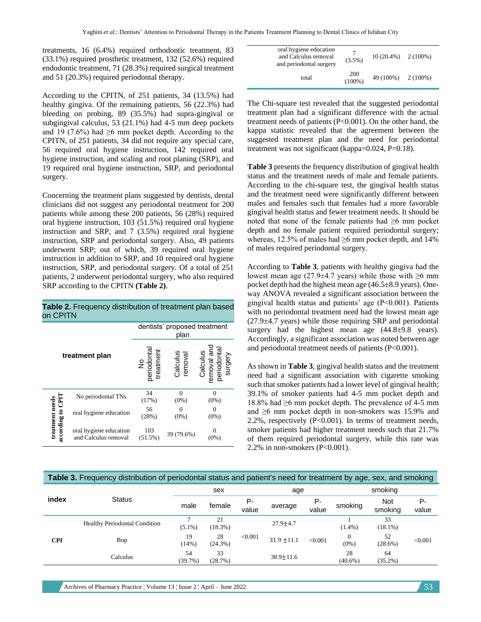treatments, 16 (6.4%) required orthodontic treatment, 83 (33.1%) required prosthetic treatment, 132 (52.6%) required endodontic treatment, 71 (28.3%) required surgical treatment and 51 (20.3%) required periodontal therapy.

According to the CPITN, of 251 patients, 34 (13.5%) had healthy gingiva. Of the remaining patients, 56 (22.3%) had bleeding on probing, 89 (35.5%) had supra-gingival or subgingival calculus, 53 (21.1%) had 4-5 mm deep pockets and 19 (7.6%) had  $\geq 6$  mm pocket depth. According to the CPITN, of 251 patients, 34 did not require any special care, 56 required oral hygiene instruction, 142 required oral hygiene instruction, and scaling and root planing (SRP), and 19 required oral hygiene instruction, SRP, and periodontal surgery.

Concerning the treatment plans suggested by dentists, dental clinicians did not suggest any periodontal treatment for 200 patients while among these 200 patients, 56 (28%) required oral hygiene instruction, 103 (51.5%) required oral hygiene instruction and SRP, and 7 (3.5%) required oral hygiene instruction, SRP and periodontal surgery. Also, 49 patients underwent SRP; out of which, 39 required oral hygiene instruction in addition to SRP, and 10 required oral hygiene instruction, SRP, and periodontal surgery. Of a total of 251 patients, 2 underwent periodontal surgery, who also required SRP according to the CPITN **(Table 2)**.

| Table 2. Frequency distribution of treatment plan based |  |
|---------------------------------------------------------|--|
| on CPITN                                                |  |

|                  |                                                | dentists' proposed treatment<br>plan |                     |                                                   |  |  |  |  |
|------------------|------------------------------------------------|--------------------------------------|---------------------|---------------------------------------------------|--|--|--|--|
|                  | treatment plan                                 | No<br>periodontal<br>treatment       | Calculus<br>removal | Calculus<br>removal and<br>periodontal<br>surgery |  |  |  |  |
|                  | No periodontal TNs                             | 34<br>(17%)                          | $\Omega$<br>$(0\%)$ | $\Omega$<br>$(0\%)$                               |  |  |  |  |
| treatment needs  | oral hygiene education                         | 56<br>(28%)                          | 0<br>$(0\%)$        | $(0\%)$                                           |  |  |  |  |
| according to CPI | oral hygiene education<br>and Calculus removal | 103<br>$(51.5\%)$                    | 39 (79.6%)          | $(0\%)$                                           |  |  |  |  |

| oral hygiene education<br>and Calculus removal<br>and periodontal surgery | $(3.5\%)$        | $10(20.4\%)$ 2(100%) |  |
|---------------------------------------------------------------------------|------------------|----------------------|--|
| total                                                                     | 200<br>$(100\%)$ | $49(100\%)$ 2(100%)  |  |

The Chi-square test revealed that the suggested periodontal treatment plan had a significant difference with the actual treatment needs of patients (P<0.001). On the other hand, the kappa statistic revealed that the agreement between the suggested treatment plan and the need for periodontal treatment was not significant (kappa=0.024, P=0.18).

**Table 3** presents the frequency distribution of gingival health status and the treatment needs of male and female patients. According to the chi-square test, the gingival health status and the treatment need were significantly different between males and females such that females had a more favorable gingival health status and fewer treatment needs. It should be noted that none of the female patients had  $\geq 6$  mm pocket depth and no female patient required periodontal surgery; whereas, 12.5% of males had  $\geq$ 6 mm pocket depth, and 14% of males required periodontal surgery.

According to **Table 3**, patients with healthy gingiva had the lowest mean age (27.9±4.7 years) while those with  $\geq 6$  mm pocket depth had the highest mean age (46.5±8.9 years). Oneway ANOVA revealed a significant association between the gingival health status and patients' age (P<0.001). Patients with no periodontal treatment need had the lowest mean age  $(27.9\pm4.7 \text{ years})$  while those requiring SRP and periodontal surgery had the highest mean age  $(44.8\pm9.8 \text{ years})$ . Accordingly, a significant association was noted between age and periodontal treatment needs of patients (P<0.001).

As shown in **Table 3**, gingival health status and the treatment need had a significant association with cigarette smoking such that smoker patients had a lower level of gingival health; 39.1% of smoker patients had 4-5 mm pocket depth and 18.8% had ≥6 mm pocket depth. The prevalence of 4-5 mm and ≥6 mm pocket depth in non-smokers was 15.9% and 2.2%, respectively (P<0.001). In terms of treatment needs, smoker patients had higher treatment needs such that 21.7% of them required periodontal surgery, while this rate was 2.2% in non-smokers (P<0.001).

### **Table 3.** Frequency distribution of periodontal status and patient's need for treatment by age, sex, and smoking

|            |                                      | sex           |               |             | age             |             | smoking                 |                       |             |
|------------|--------------------------------------|---------------|---------------|-------------|-----------------|-------------|-------------------------|-----------------------|-------------|
| index      | <b>Status</b>                        | male          | female        | Р-<br>value | average         | Р-<br>value | smoking                 | <b>Not</b><br>smoking | Р-<br>value |
| <b>CPI</b> | <b>Healthy Periodontal Condition</b> | $(5.1\%)$     | 21<br>(18.3%) |             | $27.9 + 4.7$    |             | $(1.4\%)$               | 33<br>$(18.1\%)$      | < 0.001     |
|            | Bop                                  | 19<br>(14%)   | 28<br>(24.3%) | < 0.001     | $31.9 \pm 11.1$ | < 0.001     | $\mathbf{0}$<br>$(0\%)$ | 52<br>(28.6%)         |             |
|            | Calculus                             | 54<br>(39.7%) | 33<br>(28.7%) |             | $38.9 \pm 11.6$ |             | 28<br>$(40.6\%)$        | 64<br>$(35.2\%)$      |             |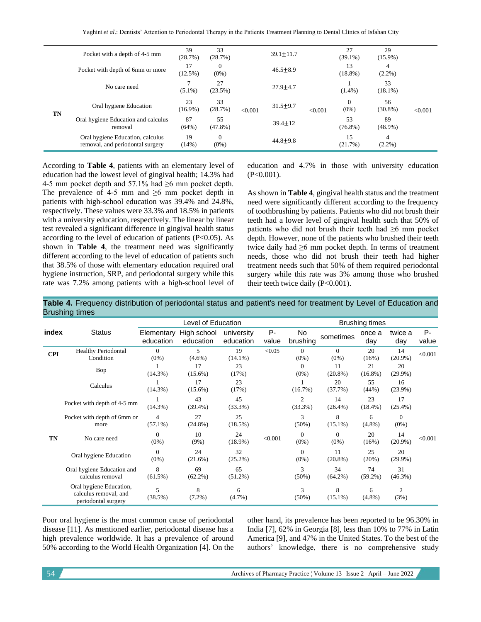Yaghini et al.: Dentists' Attention to Periodontal Therapy in the Patients Treatment Planning to Dental Clinics of Isfahan City

|    | Pocket with a depth of 4-5 mm<br>Pocket with depth of 6mm or more    | 39<br>(28.7%)<br>17 | 33<br>(28.7%)<br>$\Omega$ |         | $39.1 \pm 11.7$<br>$46.5 \pm 8.9$ |         | 27<br>$(39.1\%)$<br>13 | 29<br>$(15.9\%)$<br>4 |         |
|----|----------------------------------------------------------------------|---------------------|---------------------------|---------|-----------------------------------|---------|------------------------|-----------------------|---------|
| TN |                                                                      | $(12.5\%)$          | $(0\%)$                   |         |                                   | < 0.001 | $(18.8\%)$             | $(2.2\%)$             | < 0.001 |
|    | No care need                                                         | $(5.1\%)$           | 27<br>(23.5%)             |         | $27.9 + 4.7$                      |         | $(1.4\%)$              | 33<br>$(18.1\%)$      |         |
|    | Oral hygiene Education                                               | 23<br>$(16.9\%)$    | 33<br>(28.7%)             | < 0.001 | $31.5 + 9.7$                      |         | $\Omega$<br>$(0\%)$    | 56<br>$(30.8\%)$      |         |
|    | Oral hygiene Education and calculus<br>removal                       | 87<br>(64%)         | 55<br>$(47.8\%)$          |         | $39.4 \pm 12$                     |         | 53<br>$(76.8\%)$       | 89<br>$(48.9\%)$      |         |
|    | Oral hygiene Education, calculus<br>removal, and periodontal surgery | 19<br>(14%)         | $\Omega$<br>$(0\%)$       |         | $44.8 + 9.8$                      |         | 15<br>(21.7%)          | 4<br>$(2.2\%)$        |         |

According to **Table 4**, patients with an elementary level of education had the lowest level of gingival health; 14.3% had 4-5 mm pocket depth and 57.1% had ≥6 mm pocket depth. The prevalence of 4-5 mm and  $\geq 6$  mm pocket depth in patients with high-school education was 39.4% and 24.8%, respectively. These values were 33.3% and 18.5% in patients with a university education, respectively. The linear by linear test revealed a significant difference in gingival health status according to the level of education of patients  $(P<0.05)$ . As shown in **Table 4**, the treatment need was significantly different according to the level of education of patients such that 38.5% of those with elementary education required oral hygiene instruction, SRP, and periodontal surgery while this rate was 7.2% among patients with a high-school level of education and 4.7% in those with university education  $(P<0.001)$ .

As shown in **Table 4**, gingival health status and the treatment need were significantly different according to the frequency of toothbrushing by patients. Patients who did not brush their teeth had a lower level of gingival health such that 50% of patients who did not brush their teeth had ≥6 mm pocket depth. However, none of the patients who brushed their teeth twice daily had ≥6 mm pocket depth. In terms of treatment needs, those who did not brush their teeth had higher treatment needs such that 50% of them required periodontal surgery while this rate was 3% among those who brushed their teeth twice daily (P<0.001).

**Table 4.** Frequency distribution of periodontal status and patient's need for treatment by Level of Education and Brushing times

|            |                                                                         | Level of Education           |                          |                         | <b>Brushing times</b> |                              |                     |                  |                           |                |
|------------|-------------------------------------------------------------------------|------------------------------|--------------------------|-------------------------|-----------------------|------------------------------|---------------------|------------------|---------------------------|----------------|
| index      | <b>Status</b>                                                           | Elementary<br>education      | High school<br>education | university<br>education | P-<br>value           | No<br>brushing               | sometimes           | once a<br>day    | twice a<br>day            | $P -$<br>value |
| <b>CPI</b> | <b>Healthy Periodontal</b><br>Condition                                 | $\Omega$<br>$(0\%)$          | 5<br>$(4.6\%)$           | 19<br>$(14.1\%)$        | < 0.05                | $\Omega$<br>$(0\%)$          | $\theta$<br>$(0\%)$ | 20<br>(16%)      | 14<br>$(20.9\%)$          | < 0.001        |
|            | Bop                                                                     | $(14.3\%)$                   | 17<br>$(15.6\%)$         | 23<br>(17%)             |                       | $\Omega$<br>$(0\%)$          | 11<br>$(20.8\%)$    | 21<br>$(16.8\%)$ | 20<br>$(29.9\%)$          |                |
|            | Calculus                                                                | $(14.3\%)$                   | 17<br>$(15.6\%)$         | 23<br>(17%)             |                       | (16.7%)                      | 20<br>(37.7%)       | 55<br>(44%)      | 16<br>$(23.9\%)$          |                |
|            | Pocket with depth of 4-5 mm                                             | $(14.3\%)$                   | 43<br>$(39.4\%)$         | 45<br>$(33.3\%)$        |                       | $\overline{2}$<br>$(33.3\%)$ | 14<br>$(26.4\%)$    | 23<br>$(18.4\%)$ | 17<br>$(25.4\%)$          |                |
|            | Pocket with depth of 6mm or<br>more                                     | $\overline{4}$<br>$(57.1\%)$ | 27<br>$(24.8\%)$         | 25<br>$(18.5\%)$        |                       | 3<br>(50%)                   | 8<br>$(15.1\%)$     | 6<br>$(4.8\%)$   | $\overline{0}$<br>$(0\%)$ |                |
| TN         | No care need                                                            | $\Omega$<br>$(0\%)$          | 10<br>$(9\%)$            | 24<br>$(18.9\%)$        | < 0.001               | $\Omega$<br>$(0\%)$          | $\Omega$<br>$(0\%)$ | 20<br>(16%)      | 14<br>$(20.9\%)$          | < 0.001        |
|            | Oral hygiene Education                                                  | $\Omega$<br>$(0\%)$          | 24<br>(21.6%)            | 32<br>(25.2%)           |                       | $\theta$<br>$(0\%)$          | 11<br>$(20.8\%)$    | 25<br>(20%)      | 20<br>$(29.9\%)$          |                |
|            | Oral hygiene Education and<br>calculus removal                          | 8<br>$(61.5\%)$              | 69<br>$(62.2\%)$         | 65<br>$(51.2\%)$        |                       | 3<br>$(50\%)$                | 34<br>$(64.2\%)$    | 74<br>$(59.2\%)$ | 31<br>$(46.3\%)$          |                |
|            | Oral hygiene Education,<br>calculus removal, and<br>periodontal surgery | 5<br>(38.5%)                 | 8<br>(7.2%)              | 6<br>$(4.7\%)$          |                       | 3<br>(50%)                   | 8<br>$(15.1\%)$     | 6<br>$(4.8\%)$   | 2<br>(3%)                 |                |

Poor oral hygiene is the most common cause of periodontal disease [11]. As mentioned earlier, periodontal disease has a high prevalence worldwide. It has a prevalence of around 50% according to the World Health Organization [4]. On the other hand, its prevalence has been reported to be 96.30% in India [7], 62% in Georgia [8], less than 10% to 77% in Latin America [9], and 47% in the United States. To the best of the authors' knowledge, there is no comprehensive study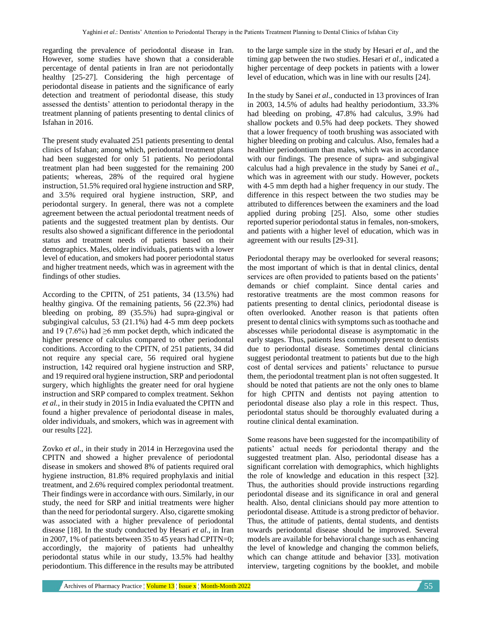regarding the prevalence of periodontal disease in Iran. However, some studies have shown that a considerable percentage of dental patients in Iran are not periodontally healthy [25-27]. Considering the high percentage of periodontal disease in patients and the significance of early detection and treatment of periodontal disease, this study assessed the dentists' attention to periodontal therapy in the treatment planning of patients presenting to dental clinics of Isfahan in 2016.

The present study evaluated 251 patients presenting to dental clinics of Isfahan; among which, periodontal treatment plans had been suggested for only 51 patients. No periodontal treatment plan had been suggested for the remaining 200 patients; whereas, 28% of the required oral hygiene instruction, 51.5% required oral hygiene instruction and SRP, and 3.5% required oral hygiene instruction, SRP, and periodontal surgery. In general, there was not a complete agreement between the actual periodontal treatment needs of patients and the suggested treatment plan by dentists. Our results also showed a significant difference in the periodontal status and treatment needs of patients based on their demographics. Males, older individuals, patients with a lower level of education, and smokers had poorer periodontal status and higher treatment needs, which was in agreement with the findings of other studies.

According to the CPITN, of 251 patients, 34 (13.5%) had healthy gingiva. Of the remaining patients, 56 (22.3%) had bleeding on probing, 89 (35.5%) had supra-gingival or subgingival calculus, 53 (21.1%) had 4-5 mm deep pockets and 19 (7.6%) had  $\geq 6$  mm pocket depth, which indicated the higher presence of calculus compared to other periodontal conditions. According to the CPITN, of 251 patients, 34 did not require any special care, 56 required oral hygiene instruction, 142 required oral hygiene instruction and SRP, and 19 required oral hygiene instruction, SRP and periodontal surgery, which highlights the greater need for oral hygiene instruction and SRP compared to complex treatment. Sekhon *et al.*, in their study in 2015 in India evaluated the CPITN and found a higher prevalence of periodontal disease in males, older individuals, and smokers, which was in agreement with our results [22].

Zovko *et al*., in their study in 2014 in Herzegovina used the CPITN and showed a higher prevalence of periodontal disease in smokers and showed 8% of patients required oral hygiene instruction, 81.8% required prophylaxis and initial treatment, and 2.6% required complex periodontal treatment. Their findings were in accordance with ours. Similarly, in our study, the need for SRP and initial treatments were higher than the need for periodontal surgery. Also, cigarette smoking was associated with a higher prevalence of periodontal disease [18]. In the study conducted by Hesari *et al*., in Iran in 2007, 1% of patients between 35 to 45 years had CPITN=0; accordingly, the majority of patients had unhealthy periodontal status while in our study, 13.5% had healthy periodontium. This difference in the results may be attributed to the large sample size in the study by Hesari *et al*., and the timing gap between the two studies. Hesari *et al*., indicated a higher percentage of deep pockets in patients with a lower level of education, which was in line with our results [24].

In the study by Sanei *et al*., conducted in 13 provinces of Iran in 2003, 14.5% of adults had healthy periodontium, 33.3% had bleeding on probing, 47.8% had calculus, 3.9% had shallow pockets and 0.5% had deep pockets. They showed that a lower frequency of tooth brushing was associated with higher bleeding on probing and calculus. Also, females had a healthier periodontium than males, which was in accordance with our findings. The presence of supra- and subgingival calculus had a high prevalence in the study by Sanei *et al*., which was in agreement with our study. However, pockets with 4-5 mm depth had a higher frequency in our study. The difference in this respect between the two studies may be attributed to differences between the examiners and the load applied during probing [25]. Also, some other studies reported superior periodontal status in females, non-smokers, and patients with a higher level of education, which was in agreement with our results [29-31].

Periodontal therapy may be overlooked for several reasons; the most important of which is that in dental clinics, dental services are often provided to patients based on the patients' demands or chief complaint. Since dental caries and restorative treatments are the most common reasons for patients presenting to dental clinics, periodontal disease is often overlooked. Another reason is that patients often present to dental clinics with symptoms such as toothache and abscesses while periodontal disease is asymptomatic in the early stages. Thus, patients less commonly present to dentists due to periodontal disease. Sometimes dental clinicians suggest periodontal treatment to patients but due to the high cost of dental services and patients' reluctance to pursue them, the periodontal treatment plan is not often suggested. It should be noted that patients are not the only ones to blame for high CPITN and dentists not paying attention to periodontal disease also play a role in this respect. Thus, periodontal status should be thoroughly evaluated during a routine clinical dental examination.

Some reasons have been suggested for the incompatibility of patients' actual needs for periodontal therapy and the suggested treatment plan. Also, periodontal disease has a significant correlation with demographics, which highlights the role of knowledge and education in this respect [32]. Thus, the authorities should provide instructions regarding periodontal disease and its significance in oral and general health. Also, dental clinicians should pay more attention to periodontal disease. Attitude is a strong predictor of behavior. Thus, the attitude of patients, dental students, and dentists towards periodontal disease should be improved. Several models are available for behavioral change such as enhancing the level of knowledge and changing the common beliefs, which can change attitude and behavior [33]. motivation interview, targeting cognitions by the booklet, and mobile